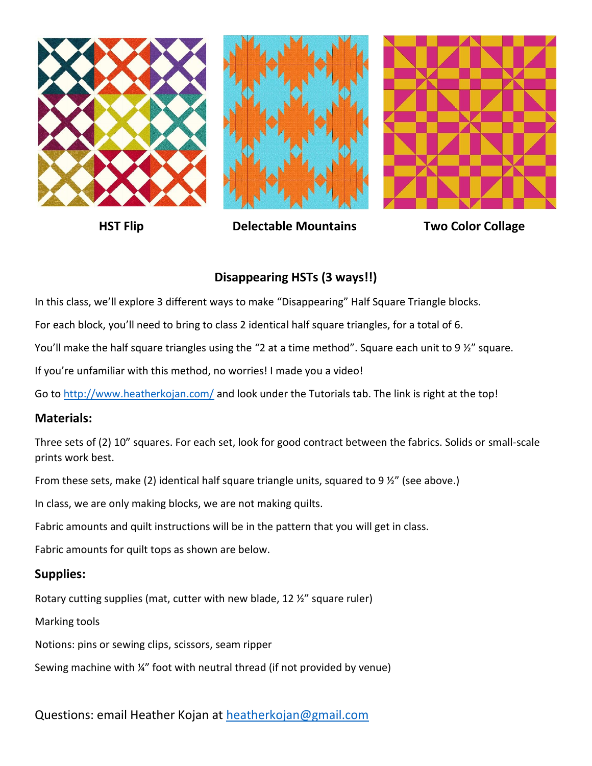





**HST Flip Constructure Delectable Mountains Two Color Collage** 



# **Disappearing HSTs (3 ways!!)**

In this class, we'll explore 3 different ways to make "Disappearing" Half Square Triangle blocks.

For each block, you'll need to bring to class 2 identical half square triangles, for a total of 6.

You'll make the half square triangles using the "2 at a time method". Square each unit to 9 ½" square.

If you're unfamiliar with this method, no worries! I made you a video!

Go t[o http://www.heatherkojan.com/](http://www.heatherkojan.com/) and look under the Tutorials tab. The link is right at the top!

#### **Materials:**

Three sets of (2) 10" squares. For each set, look for good contract between the fabrics. Solids or small-scale prints work best.

From these sets, make (2) identical half square triangle units, squared to 9  $\frac{1}{2}$ " (see above.)

In class, we are only making blocks, we are not making quilts.

Fabric amounts and quilt instructions will be in the pattern that you will get in class.

Fabric amounts for quilt tops as shown are below.

#### **Supplies:**

Rotary cutting supplies (mat, cutter with new blade, 12 ½" square ruler)

Marking tools

Notions: pins or sewing clips, scissors, seam ripper

Sewing machine with ¼" foot with neutral thread (if not provided by venue)

Questions: email Heather Kojan at [heatherkojan@gmail.com](mailto:heatherkojan@gmail.com)